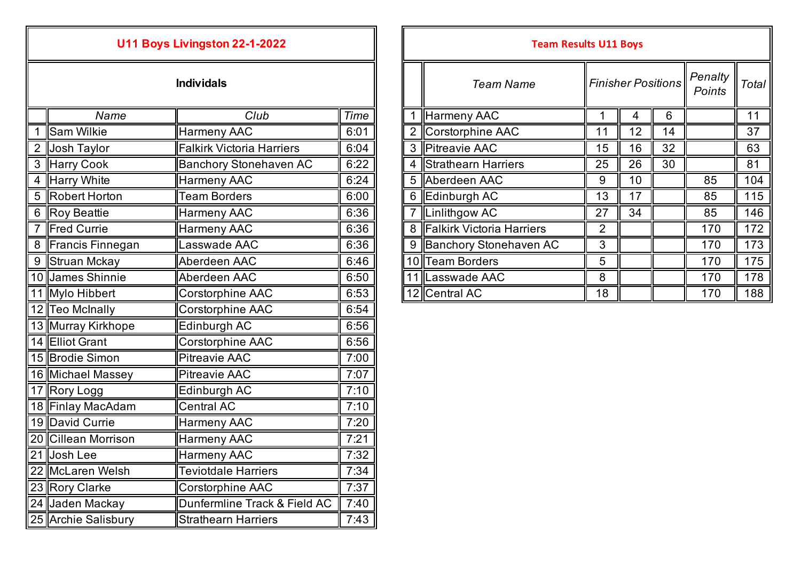|   |                     | U11 Boys Livingston 22-1-2022    |      |  | <b>Team Results U11 Boys</b> |                             |                  |                |  |
|---|---------------------|----------------------------------|------|--|------------------------------|-----------------------------|------------------|----------------|--|
|   | <b>Individals</b>   |                                  |      |  |                              | <b>Team Name</b>            | Finisher P       |                |  |
|   | Name                | Club                             | Time |  |                              | 1 Harmeny AAC               | 1                | $\overline{4}$ |  |
| 1 | <b>Sam Wilkie</b>   | <b>Harmeny AAC</b>               | 6:01 |  | 2 <sup>1</sup>               | Corstorphine AAC            | 11               | 12             |  |
| 2 | Josh Taylor         | <b>Falkirk Victoria Harriers</b> | 6:04 |  |                              | 3 Pitreavie AAC             | 15               | 16             |  |
|   | 3 Harry Cook        | <b>Banchory Stonehaven AC</b>    | 6:22 |  | 4 <sup>1</sup>               | Strathearn Harriers         | 25               | 26             |  |
|   | 4 Harry White       | <b>Harmeny AAC</b>               | 6:24 |  |                              | 5 Aberdeen AAC              | 9                | 10             |  |
|   | 5 Robert Horton     | <b>Team Borders</b>              | 6:00 |  |                              | 6 Edinburgh AC              | 13               | 17             |  |
| 6 | Roy Beattie         | <b>Harmeny AAC</b>               | 6:36 |  |                              | 7  Linlithgow AC            | 27               | 34             |  |
| 7 | Fred Currie         | <b>Harmeny AAC</b>               | 6:36 |  |                              | 8 Falkirk Victoria Harriers | $\overline{2}$   |                |  |
|   | 8 Francis Finnegan  | Lasswade AAC                     | 6:36 |  |                              | 9 Banchory Stonehaven AC    | 3                |                |  |
| 9 | Struan Mckay        | Aberdeen AAC                     | 6:46 |  |                              | 10 Team Borders             | 5                |                |  |
|   | 10 James Shinnie    | Aberdeen AAC                     | 6:50 |  |                              | 11 Lasswade AAC             | $\boldsymbol{8}$ |                |  |
|   | 11 Mylo Hibbert     | Corstorphine AAC                 | 6:53 |  |                              | 12 Central AC               | 18               |                |  |
|   | 12 Teo McInally     | Corstorphine AAC                 | 6:54 |  |                              |                             |                  |                |  |
|   | 13 Murray Kirkhope  | Edinburgh AC                     | 6:56 |  |                              |                             |                  |                |  |
|   | 14 Elliot Grant     | Corstorphine AAC                 | 6:56 |  |                              |                             |                  |                |  |
|   | 15 Brodie Simon     | <b>Pitreavie AAC</b>             | 7:00 |  |                              |                             |                  |                |  |
|   | 16 Michael Massey   | <b>Pitreavie AAC</b>             | 7:07 |  |                              |                             |                  |                |  |
|   | 17 Rory Logg        | Edinburgh AC                     | 7:10 |  |                              |                             |                  |                |  |
|   | 18 Finlay MacAdam   | <b>Central AC</b>                | 7:10 |  |                              |                             |                  |                |  |
|   | 19 David Currie     | <b>Harmeny AAC</b>               | 7:20 |  |                              |                             |                  |                |  |
|   | 20 Cillean Morrison | <b>Harmeny AAC</b>               | 7:21 |  |                              |                             |                  |                |  |
|   | 21 Josh Lee         | <b>Harmeny AAC</b>               | 7:32 |  |                              |                             |                  |                |  |
|   | 22 McLaren Welsh    | <b>Teviotdale Harriers</b>       | 7:34 |  |                              |                             |                  |                |  |
|   | 23 Rory Clarke      | Corstorphine AAC                 | 7:37 |  |                              |                             |                  |                |  |
|   | 24 Jaden Mackay     | Dunfermline Track & Field AC     | 7:40 |  |                              |                             |                  |                |  |
|   | 25 Archie Salisbury | <b>Strathearn Harriers</b>       | 7:43 |  |                              |                             |                  |                |  |

|                   |                    | U11 BOYS LIVINGSTON 22-1-2022    |             |   | Team Results U11 Boys     |                |                           |    |                   |       |
|-------------------|--------------------|----------------------------------|-------------|---|---------------------------|----------------|---------------------------|----|-------------------|-------|
| <b>Individals</b> |                    |                                  |             |   | Team Name                 |                | <b>Finisher Positions</b> |    | Penalty<br>Points | Total |
|                   | Name               | Club                             | <b>Time</b> |   | Harmeny AAC               |                | 4                         | 6  |                   | 11    |
|                   | Sam Wilkie         | Harmeny AAC                      | 6:01        |   | Corstorphine AAC          | 11             | 12                        | 14 |                   | 37    |
|                   | 2 Josh Taylor      | <b>Falkirk Victoria Harriers</b> | 6:04        | 3 | Pitreavie AAC             | 15             | 16                        | 32 |                   | 63    |
|                   | 3 Harry Cook       | <b>Banchory Stonehaven AC</b>    | 6:22        | 4 | Strathearn Harriers       | 25             | 26                        | 30 |                   | 81    |
|                   | 4 Harry White      | <b>Harmeny AAC</b>               | 6:24        |   | 5 Aberdeen AAC            | 9              | 10                        |    | 85                | 104   |
|                   | 5 Robert Horton    | <b>Team Borders</b>              | 6:00        |   | 6 Edinburgh AC            | 13             | 17                        |    | 85                | 115   |
|                   | 6 Roy Beattie      | <b>Harmeny AAC</b>               | 6:36        |   | Linlithgow AC             | 27             | 34                        |    | 85                | 146   |
|                   | <b>Fred Currie</b> | <b>Harmeny AAC</b>               | 6:36        | 8 | Falkirk Victoria Harriers | $\overline{2}$ |                           |    | 170               | 172   |
|                   | 8 Francis Finnegan | Lasswade AAC                     | 6:36        | 9 | Banchory Stonehaven AC    | 3              |                           |    | 170               | 173   |
|                   | 9 Struan Mckay     | Aberdeen AAC                     | 6:46        |   | 10 Team Borders           | 5              |                           |    | 170               | 175   |
|                   | 10 James Shinnie   | Aberdeen AAC                     | 6:50        |   | 11 Lasswade AAC           | 8              |                           |    | 170               | 178   |
|                   | 11 Mylo Hibbert    | Corstorphine AAC                 | 6:53        |   | 12 Central AC             | 18             |                           |    | 170               | 188   |